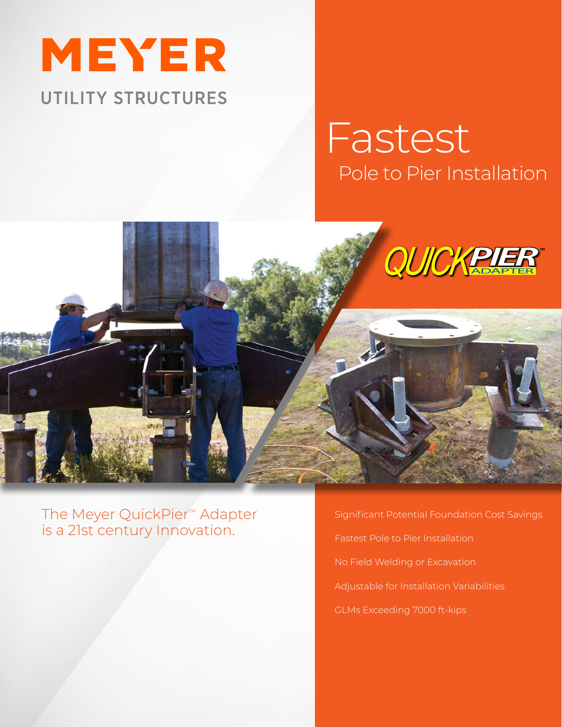

# Pole to Pier Installation Fastest



The Meyer QuickPier™ Adapter is a 21st century Innovation.

Significant Potential Foundation Cost Savings Fastest Pole to Pier Installation No Field Welding or Excavation Adjustable for Installation Variabilities GLMs Exceeding 7000 ft-kips